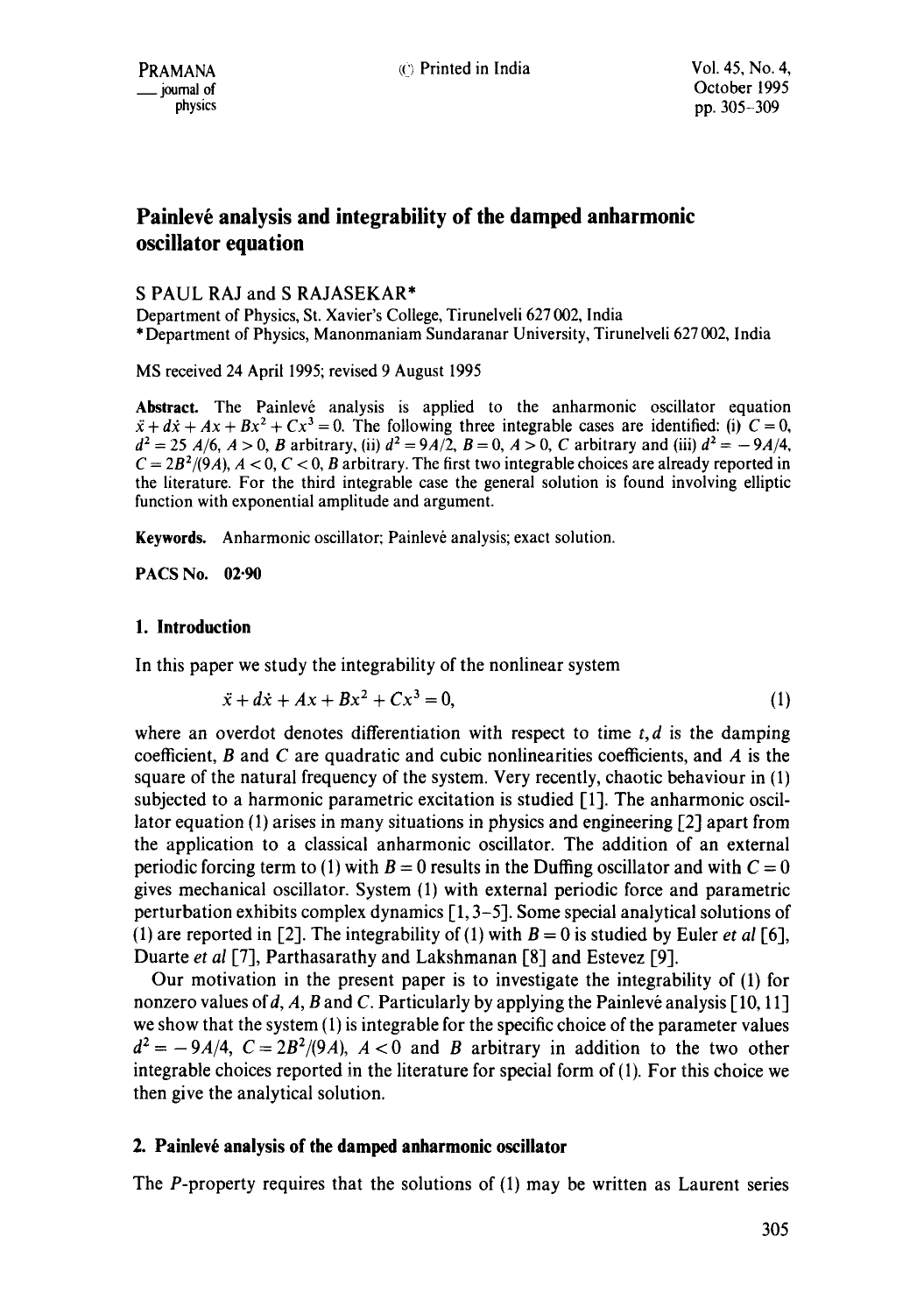# Painlevé analysis and integrability of the damped anharmonic **oscillator equation**

## S PAUL RAJ and S RAJASEKAR\*

Department of Physics, St. Xavier's College, Tirunelveli 627 002, India \* Department of Physics, Manonmaniam Sundaranar University, Tirunelveli 627 002, India

MS received 24 April 1995; revised 9 August 1995

Abstract. The Painlevé analysis is applied to the anharmonic oscillator equation  $\ddot{x} + d\dot{x} + Ax + Bx^2 + Cx^3 = 0$ . The following three integrable cases are identified: (i)  $C = 0$ ,  $d^2 = 25$  *A*/6, *A* > 0, *B* arbitrary, (ii)  $d^2 = 9A/2$ , *B* = 0, *A* > 0, *C* arbitrary and (iii)  $d^2 = -9A/4$ ,  $C = 2B^2/(9A)$ ,  $A < 0$ ,  $C < 0$ , B arbitrary. The first two integrable choices are already reported in the literature. For the third integrable case the general solution is found involving elliptic function with exponential amplitude and argument.

Keywords. Anharmonic oscillator; Painlevé analysis; exact solution.

**PACS No. 02.90** 

## **1. Introduction**

In this paper we study the integrability of the nonlinear system

$$
\ddot{x} + d\dot{x} + Ax + Bx^2 + Cx^3 = 0,
$$
 (1)

where an overdot denotes differentiation with respect to time  $t, d$  is the damping coefficient,  $B$  and  $C$  are quadratic and cubic nonlinearities coefficients, and  $A$  is the square of the natural frequency of the system. Very recently, chaotic behaviour in (1) subjected to a harmonic parametric excitation is studied [1]. The anharmonic oscillator equation (1) arises in many situations in physics and engineering  $\lceil 2 \rceil$  apart from the application to a classical anharmonic oscillator. The addition of an external periodic forcing term to (1) with  $B = 0$  results in the Duffing oscillator and with  $C = 0$ gives mechanical oscillator. System (1) with external periodic force and parametric perturbation exhibits complex dynamics  $[1, 3-5]$ . Some special analytical solutions of (1) are reported in [2]. The integrability of (1) with  $B = 0$  is studied by Euler *et al* [6], Duarte *et al* [7], Parthasarathy and Lakshmanan [8] and Estevez [9].

Our motivation in the present paper is to investigate the integrability of (1) for nonzero values of d, A, B and C. Particularly by applying the Painlevé analysis  $[10, 11]$ we show that the system (1) is integrable for the specific choice of the parameter values  $d^2 = -9A/4$ ,  $C = 2B^2/(9A)$ ,  $A < 0$  and B arbitrary in addition to the two other integrable choices reported in the literature for special form of(l). For this choice we then give the analytical solution.

# **2. Painlev6 analysis of the damped anharmonic oscillator**

The  $P$ -property requires that the solutions of  $(1)$  may be written as Laurent series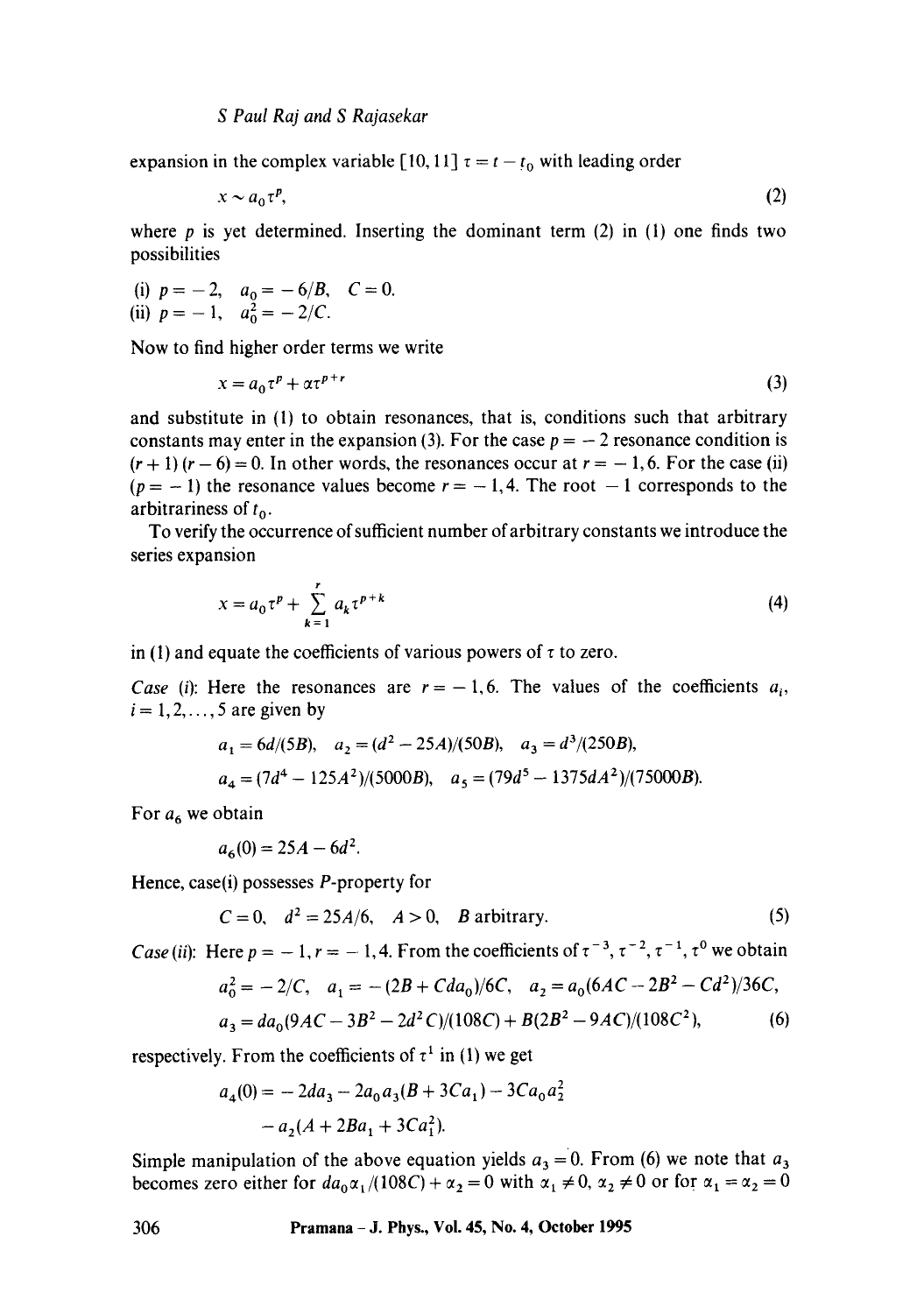expansion in the complex variable [10, 11]  $\tau = t - t_0$  with leading order

$$
x \sim a_0 \tau^p, \tag{2}
$$

where  $p$  is yet determined. Inserting the dominant term (2) in (1) one finds two possibilities

(i) 
$$
p = -2
$$
,  $a_0 = -6/B$ ,  $C = 0$ .  
\n(ii)  $p = -1$ ,  $a_0^2 = -2/C$ .

Now to find higher order terms we write

$$
x = a_0 \tau^p + \alpha \tau^{p+r} \tag{3}
$$

and substitute in (1) to obtain resonances, that is, conditions such that arbitrary constants may enter in the expansion (3). For the case  $p = -2$  resonance condition is  $(r + 1) (r - 6) = 0$ . In other words, the resonances occur at  $r = -1, 6$ . For the case (ii)  $(p = -1)$  the resonance values become  $r = -1, 4$ . The root  $-1$  corresponds to the arbitrariness of  $t_0$ .

To verify the occurrence of sufficient number of arbitrary constants we introduce the series expansion

$$
x = a_0 \tau^p + \sum_{k=1}^r a_k \tau^{p+k}
$$
 (4)

in (1) and equate the coefficients of various powers of  $\tau$  to zero.

*Case (i)*: Here the resonances are  $r = -1, 6$ . The values of the coefficients  $a_i$ ,  $i = 1, 2, \ldots, 5$  are given by

$$
a_1 = 6d/(5B)
$$
,  $a_2 = (d^2 - 25A)/(50B)$ ,  $a_3 = d^3/(250B)$ ,  
\n $a_4 = (7d^4 - 125A^2)/(5000B)$ ,  $a_5 = (79d^5 - 1375dA^2)/(75000B)$ .

For  $a_6$  we obtain

$$
a_6(0) = 25A - 6d^2.
$$

Hence, case(i) possesses P-property for

$$
C = 0
$$
,  $d^2 = 25A/6$ ,  $A > 0$ , *B* arbitrary. (5)

*Case (ii):* Here  $p = -1$ ,  $r = -1$ , 4. From the coefficients of  $\tau^{-3}$ ,  $\tau^{-2}$ ,  $\tau^{-1}$ ,  $\tau^0$  we obtain

$$
a_0^2 = -2/C, \quad a_1 = -(2B + Cda_0)/6C, \quad a_2 = a_0(6AC - 2B^2 - Cd^2)/36C,
$$
  

$$
a_3 = da_0(9AC - 3B^2 - 2d^2C)/(108C) + B(2B^2 - 9AC)/(108C^2),
$$
 (6)

respectively. From the coefficients of  $\tau^1$  in (1) we get

$$
a_4(0) = -2da_3 - 2a_0a_3(B + 3Ca_1) - 3Ca_0a_2^2
$$
  
- a<sub>2</sub>(A + 2Ba<sub>1</sub> + 3Ca<sub>1</sub><sup>2</sup>).

Simple manipulation of the above equation yields  $a_3 = 0$ . From (6) we note that  $a_3$ becomes zero either for  $da_0\alpha_1/(108C) + \alpha_2 = 0$  with  $\alpha_1 \neq 0$ ,  $\alpha_2 \neq 0$  or for  $\alpha_1 = \alpha_2 = 0$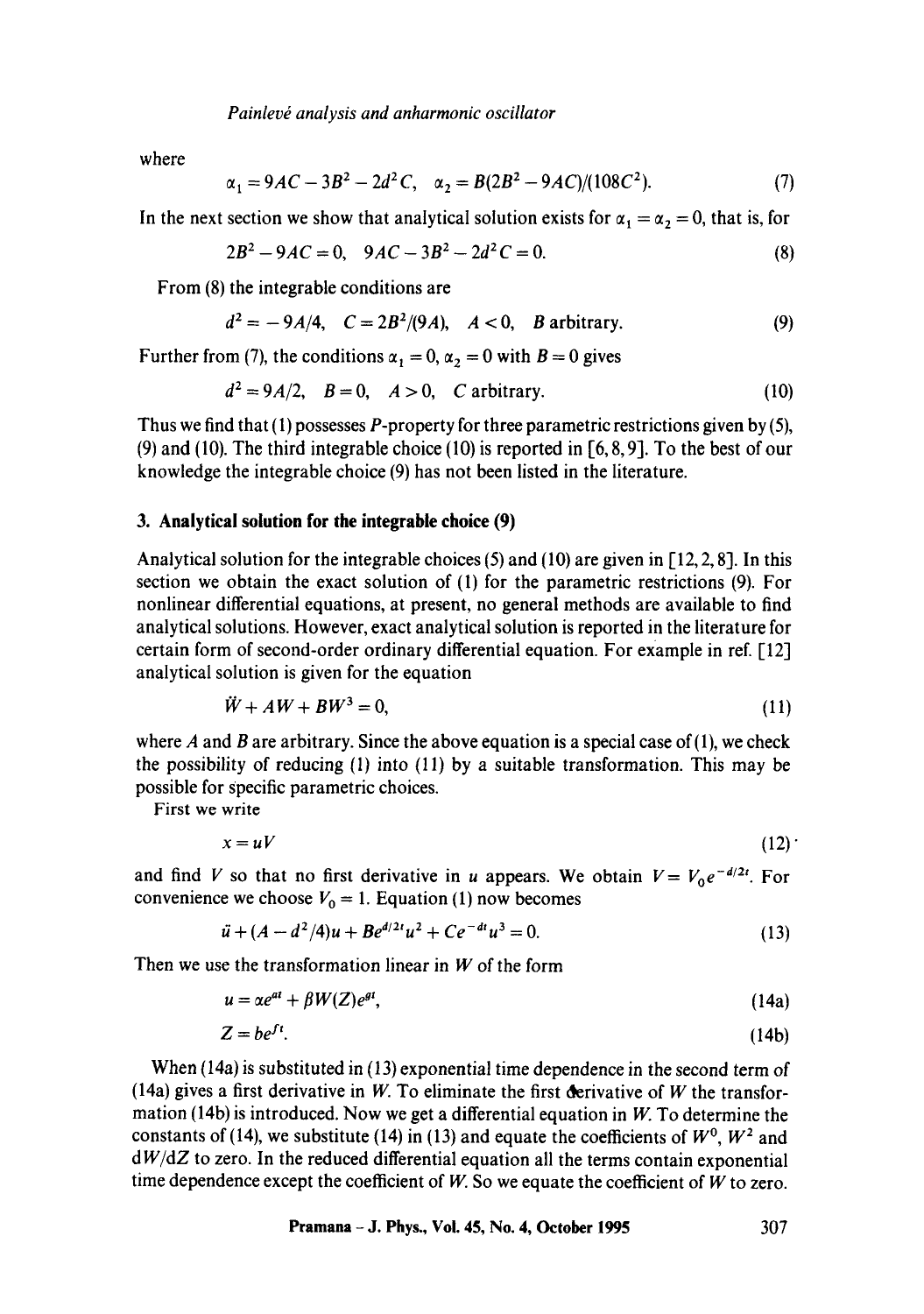*Painlev~ analysis and anharmonic oscillator* 

where

$$
\alpha_1 = 9AC - 3B^2 - 2d^2C, \quad \alpha_2 = B(2B^2 - 9AC)/(108C^2). \tag{7}
$$

In the next section we show that analytical solution exists for  $\alpha_1 = \alpha_2 = 0$ , that is, for

$$
2B^2 - 9AC = 0, \quad 9AC - 3B^2 - 2d^2C = 0.
$$
 (8)

From (8) the integrable conditions are

$$
d^2 = -9A/4, \quad C = 2B^2/(9A), \quad A < 0, \quad B \text{ arbitrary.} \tag{9}
$$

Further from (7), the conditions  $\alpha_1 = 0$ ,  $\alpha_2 = 0$  with  $B = 0$  gives

$$
d^2 = 9A/2, \quad B = 0, \quad A > 0, \quad C \text{ arbitrary.} \tag{10}
$$

Thus we find that  $(1)$  possesses P-property for three parametric restrictions given by  $(5)$ , (9) and (10). The third integrable choice (10) is reported in  $[6, 8, 9]$ . To the best of our knowledge the integrable choice (9) has not been listed in the literature.

### **3. Analytical solution for the integrable choice (9)**

Analytical solution for the integrable choices  $(5)$  and  $(10)$  are given in  $[12, 2, 8]$ . In this section we obtain the exact solution of (1) for the parametric restrictions (9). For nonlinear differential equations, at present, no general methods are available to find analytical solutions. However, exact analytical solution is reported in the literature for certain form of second-order ordinary differential equation. For example in ref. [12] analytical solution is given for the equation

$$
\ddot{W} + AW + BW^3 = 0,\tag{11}
$$

where A and B are arbitrary. Since the above equation is a special case of  $(1)$ , we check the possibility of reducing (1) into (11) by a suitable transformation. This may be possible for Specific parametric choices.

First we write

$$
x = uV \tag{12}
$$

and find V so that no first derivative in u appears. We obtain  $V = V_0 e^{-d/2t}$ . For convenience we choose  $V_0 = 1$ . Equation (1) now becomes

$$
\ddot{u} + (A - d^2/4)u + Be^{d/2t}u^2 + Ce^{-dt}u^3 = 0.
$$
 (13)

Then we use the transformation linear in  $W$  of the form

$$
u = \alpha e^{at} + \beta W(Z) e^{gt}, \tag{14a}
$$

$$
Z = be^{ft}.\tag{14b}
$$

When (14a) is substituted in (13) exponential time dependence in the second term of (14a) gives a first derivative in W. To eliminate the first derivative of W the transformation (14b) is introduced. Now we get a differential equation in  $W$ . To determine the constants of (14), we substitute (14) in (13) and equate the coefficients of  $W^0$ ,  $W^2$  and *dW/dZ* to zero. In the reduced differential equation all the terms contain exponential time dependence except the coefficient of  $W$ . So we equate the coefficient of  $W$  to zero.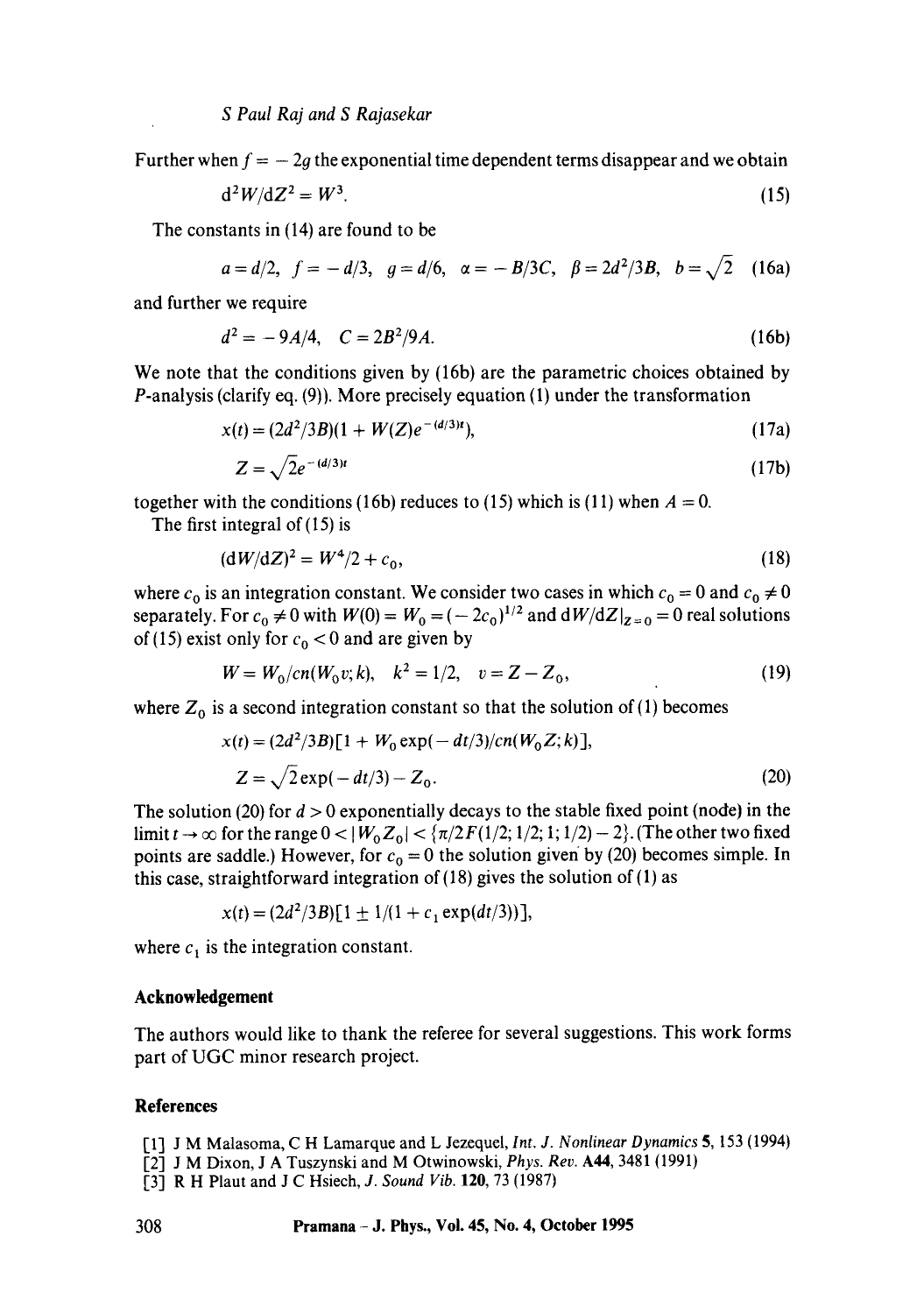Further when  $f = -2g$  the exponential time dependent terms disappear and we obtain

$$
\mathrm{d}^2 W / \mathrm{d} Z^2 = W^3. \tag{15}
$$

The constants in (14) are found to be

$$
a = d/2
$$
,  $f = -d/3$ ,  $g = d/6$ ,  $\alpha = -B/3C$ ,  $\beta = 2d^2/3B$ ,  $b = \sqrt{2}$  (16a)

and further we require

$$
d^2 = -9A/4, \quad C = 2B^2/9A. \tag{16b}
$$

We note that the conditions given by (16b) are the parametric choices obtained by P-analysis (clarify eq. (9)). More precisely equation (1) under the transformation

$$
x(t) = (2d^2/3B)(1 + W(Z)e^{-(d/3)t}),
$$
\n(17a)

$$
Z = \sqrt{2}e^{-(d/3)t} \tag{17b}
$$

together with the conditions (16b) reduces to (15) which is (11) when  $A = 0$ .

The first integral of (15) is

$$
(\mathrm{d}W/\mathrm{d}Z)^2 = W^4/2 + c_0,\tag{18}
$$

where  $c_0$  is an integration constant. We consider two cases in which  $c_0 = 0$  and  $c_0 \neq 0$ separately. For  $c_0 \neq 0$  with  $W(0) = W_0 = (-2c_0)^{1/2}$  and  $dW/dZ|_{z=0} = 0$  real solutions of (15) exist only for  $c_0 < 0$  and are given by

$$
W = W_0/cn(W_0 v; k), \quad k^2 = 1/2, \quad v = Z - Z_0,
$$
\n(19)

where  $Z_0$  is a second integration constant so that the solution of (1) becomes

$$
x(t) = (2d^{2}/3B)[1 + W_{0} \exp(-dt/3)/cn(W_{0} Z; k)],
$$
  
\n
$$
Z = \sqrt{2} \exp(-dt/3) - Z_{0}.
$$
\n(20)

The solution (20) for  $d > 0$  exponentially decays to the stable fixed point (node) in the limit  $t \to \infty$  for the range  $0 < |W_0Z_0| < \{\pi/2F(1/2; 1/2; 1; 1/2) - 2\}$ . (The other two fixed points are saddle.) However, for  $c_0 = 0$  the solution given by (20) becomes simple. In this case, straightforward integration of  $(18)$  gives the solution of  $(1)$  as

$$
x(t) = (2d^2/3B)[1 \pm 1/(1 + c_1 \exp(dt/3))],
$$

where  $c_1$  is the integration constant.

### **Acknowledgement**

The authors would like to thank the referee for several suggestions. This work forms part of UGC minor research project.

### **References**

- [1] J M Malasoma, C H Lamarque and L Jezequel, *Int. J. Nonlinear Dynamics* 5, 153 (1994)
- [2] J M Dixon, J A Tuszynski and M Otwinowski, *Phys. Rev.* A44, 3481 (1991)
- [3] R H Plaut and J C Hsiech, *J. Sound Vib.* 120, 73 (1987)